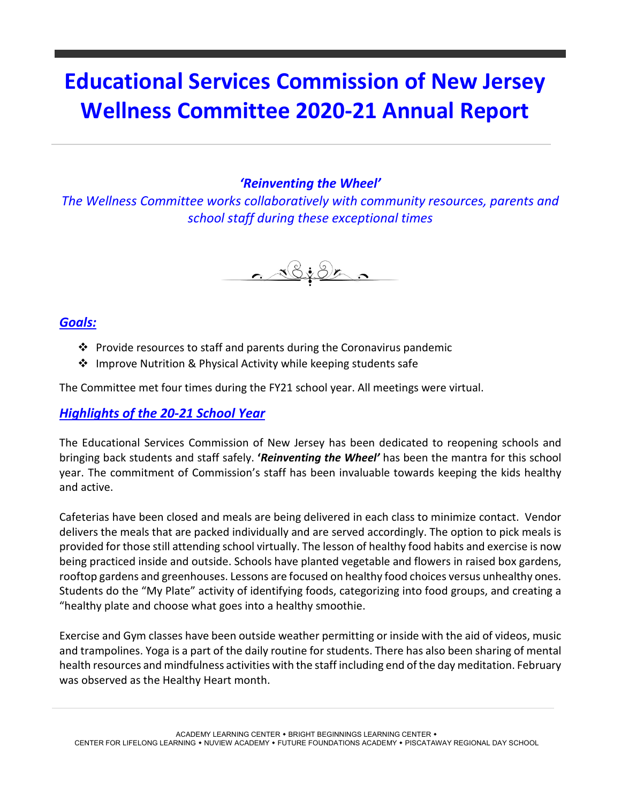## **Educational Services Commission of New Jersey Wellness Committee 2020-21 Annual Report**

## *'Reinventing the Wheel'*

*The Wellness Committee works collaboratively with community resources, parents and school staff during these exceptional times*



## *Goals:*

- $\cdot$  Provide resources to staff and parents during the Coronavirus pandemic
- ❖ Improve Nutrition & Physical Activity while keeping students safe

The Committee met four times during the FY21 school year. All meetings were virtual.

## *Highlights of the 20-21 School Year*

The Educational Services Commission of New Jersey has been dedicated to reopening schools and bringing back students and staff safely. **'***Reinventing the Wheel'* has been the mantra for this school year. The commitment of Commission's staff has been invaluable towards keeping the kids healthy and active.

Cafeterias have been closed and meals are being delivered in each class to minimize contact. Vendor delivers the meals that are packed individually and are served accordingly. The option to pick meals is provided for those still attending school virtually. The lesson of healthy food habits and exercise is now being practiced inside and outside. Schools have planted vegetable and flowers in raised box gardens, rooftop gardens and greenhouses. Lessons are focused on healthy food choices versus unhealthy ones. Students do the "My Plate" activity of identifying foods, categorizing into food groups, and creating a "healthy plate and choose what goes into a healthy smoothie.

Exercise and Gym classes have been outside weather permitting or inside with the aid of videos, music and trampolines. Yoga is a part of the daily routine for students. There has also been sharing of mental health resources and mindfulness activities with the staff including end of the day meditation. February was observed as the Healthy Heart month.